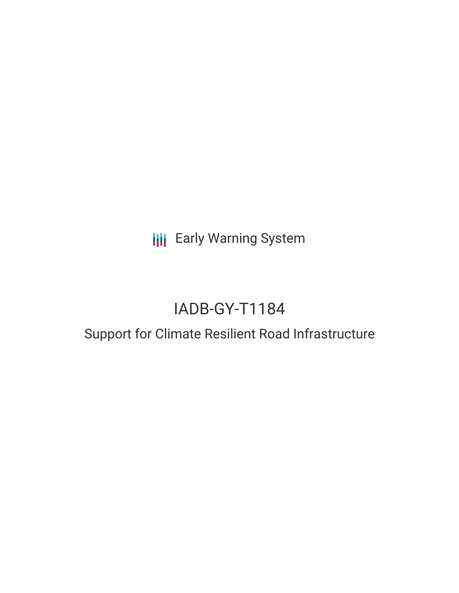**III** Early Warning System

# IADB-GY-T1184

## Support for Climate Resilient Road Infrastructure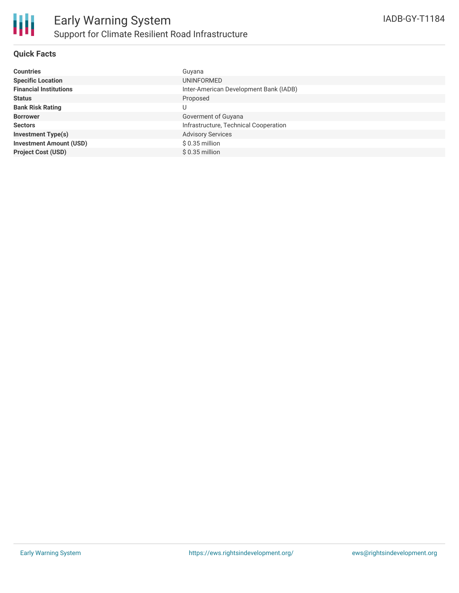### **Quick Facts**

| <b>Countries</b>               | Guyana                                 |
|--------------------------------|----------------------------------------|
| <b>Specific Location</b>       | UNINFORMED                             |
| <b>Financial Institutions</b>  | Inter-American Development Bank (IADB) |
| <b>Status</b>                  | Proposed                               |
| <b>Bank Risk Rating</b>        | U                                      |
| <b>Borrower</b>                | Goverment of Guyana                    |
| <b>Sectors</b>                 | Infrastructure, Technical Cooperation  |
| <b>Investment Type(s)</b>      | <b>Advisory Services</b>               |
| <b>Investment Amount (USD)</b> | $$0.35$ million                        |
| <b>Project Cost (USD)</b>      | $$0.35$ million                        |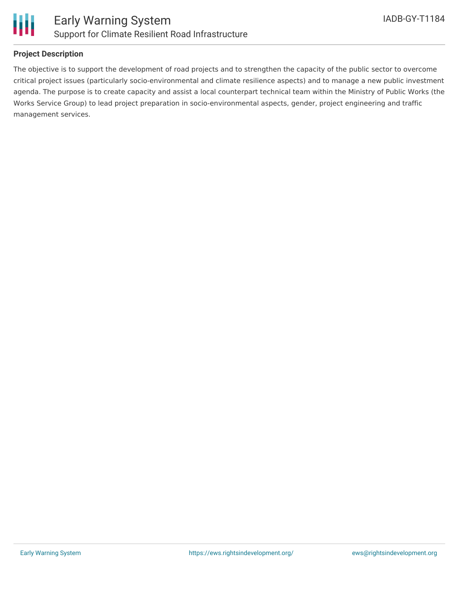

### **Project Description**

The objective is to support the development of road projects and to strengthen the capacity of the public sector to overcome critical project issues (particularly socio-environmental and climate resilience aspects) and to manage a new public investment agenda. The purpose is to create capacity and assist a local counterpart technical team within the Ministry of Public Works (the Works Service Group) to lead project preparation in socio-environmental aspects, gender, project engineering and traffic management services.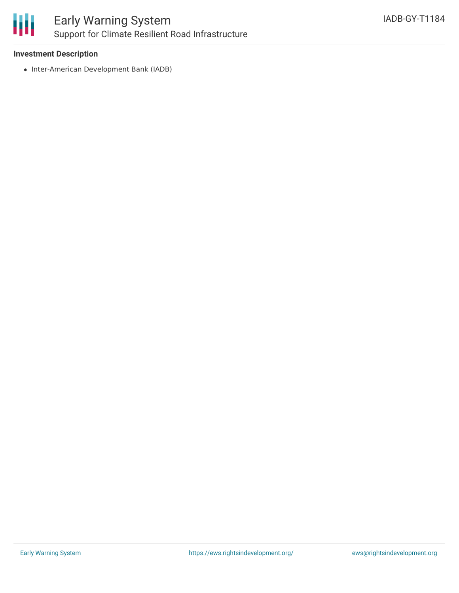

### Early Warning System Support for Climate Resilient Road Infrastructure

### **Investment Description**

• Inter-American Development Bank (IADB)